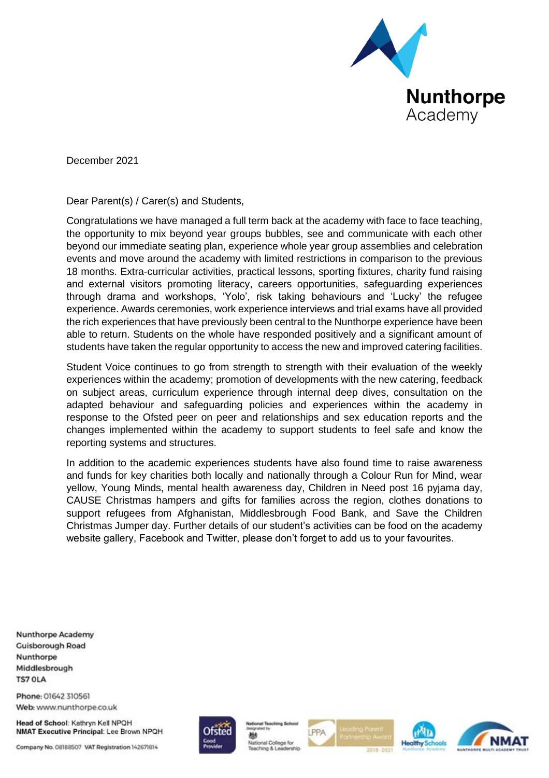

December 2021

Dear Parent(s) / Carer(s) and Students,

Congratulations we have managed a full term back at the academy with face to face teaching, the opportunity to mix beyond year groups bubbles, see and communicate with each other beyond our immediate seating plan, experience whole year group assemblies and celebration events and move around the academy with limited restrictions in comparison to the previous 18 months. Extra-curricular activities, practical lessons, sporting fixtures, charity fund raising and external visitors promoting literacy, careers opportunities, safeguarding experiences through drama and workshops, 'Yolo', risk taking behaviours and 'Lucky' the refugee experience. Awards ceremonies, work experience interviews and trial exams have all provided the rich experiences that have previously been central to the Nunthorpe experience have been able to return. Students on the whole have responded positively and a significant amount of students have taken the regular opportunity to access the new and improved catering facilities.

Student Voice continues to go from strength to strength with their evaluation of the weekly experiences within the academy; promotion of developments with the new catering, feedback on subject areas, curriculum experience through internal deep dives, consultation on the adapted behaviour and safeguarding policies and experiences within the academy in response to the Ofsted peer on peer and relationships and sex education reports and the changes implemented within the academy to support students to feel safe and know the reporting systems and structures.

In addition to the academic experiences students have also found time to raise awareness and funds for key charities both locally and nationally through a Colour Run for Mind, wear yellow, Young Minds, mental health awareness day, Children in Need post 16 pyjama day, CAUSE Christmas hampers and gifts for families across the region, clothes donations to support refugees from Afghanistan, Middlesbrough Food Bank, and Save the Children Christmas Jumper day. Further details of our student's activities can be food on the academy website gallery, Facebook and Twitter, please don't forget to add us to your favourites.

**Nunthorpe Academy Cuisborough Road** Nunthorpe Middlesbrough **TS7 OLA** 

Phone: 01642 310561 Web: www.nunthorpe.co.uk

Head of School: Kathryn Kell NPQH NMAT Executive Principal: Lee Brown NPQH

Company No. 08188507 VAT Registration 142671814



嬲 National College for PPA



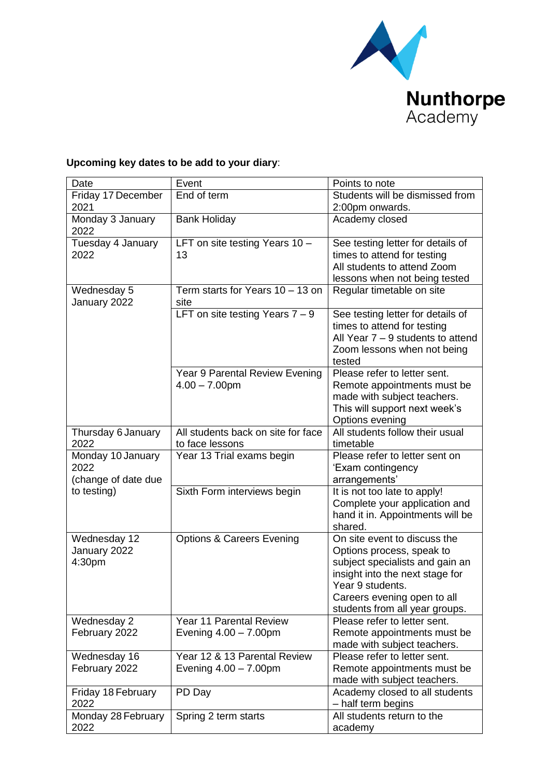

## **Upcoming key dates to be add to your diary**:

| Date                        | Event                                                 | Points to note                                                 |
|-----------------------------|-------------------------------------------------------|----------------------------------------------------------------|
| Friday 17 December          | End of term                                           | Students will be dismissed from                                |
| 2021                        |                                                       | 2:00pm onwards.                                                |
| Monday 3 January<br>2022    | <b>Bank Holiday</b>                                   | Academy closed                                                 |
| Tuesday 4 January           | LFT on site testing Years 10 -                        | See testing letter for details of                              |
| 2022                        | 13                                                    | times to attend for testing                                    |
|                             |                                                       | All students to attend Zoom                                    |
|                             |                                                       | lessons when not being tested                                  |
| Wednesday 5<br>January 2022 | Term starts for Years 10 - 13 on<br>site              | Regular timetable on site                                      |
|                             | LFT on site testing Years $7 - 9$                     | See testing letter for details of                              |
|                             |                                                       | times to attend for testing                                    |
|                             |                                                       | All Year $7 - 9$ students to attend                            |
|                             |                                                       | Zoom lessons when not being                                    |
|                             |                                                       | tested                                                         |
|                             | Year 9 Parental Review Evening                        | Please refer to letter sent.                                   |
|                             | $4.00 - 7.00$ pm                                      | Remote appointments must be                                    |
|                             |                                                       | made with subject teachers.                                    |
|                             |                                                       | This will support next week's                                  |
|                             |                                                       | Options evening                                                |
| Thursday 6 January<br>2022  | All students back on site for face<br>to face lessons | All students follow their usual<br>timetable                   |
| Monday 10 January           | Year 13 Trial exams begin                             | Please refer to letter sent on                                 |
| 2022                        |                                                       | 'Exam contingency                                              |
| (change of date due         |                                                       | arrangements'                                                  |
| to testing)                 | Sixth Form interviews begin                           | It is not too late to apply!                                   |
|                             |                                                       | Complete your application and                                  |
|                             |                                                       | hand it in. Appointments will be                               |
|                             |                                                       | shared.                                                        |
| Wednesday 12                | <b>Options &amp; Careers Evening</b>                  | On site event to discuss the                                   |
| January 2022                |                                                       | Options process, speak to                                      |
| 4:30pm                      |                                                       | subject specialists and gain an                                |
|                             |                                                       | insight into the next stage for                                |
|                             |                                                       | Year 9 students.                                               |
|                             |                                                       | Careers evening open to all                                    |
|                             | <b>Year 11 Parental Review</b>                        | students from all year groups.<br>Please refer to letter sent. |
| Wednesday 2                 |                                                       |                                                                |
| February 2022               | Evening $4.00 - 7.00$ pm                              | Remote appointments must be<br>made with subject teachers.     |
| Wednesday 16                | Year 12 & 13 Parental Review                          | Please refer to letter sent.                                   |
| February 2022               | Evening $4.00 - 7.00$ pm                              | Remote appointments must be                                    |
|                             |                                                       | made with subject teachers.                                    |
| Friday 18 February          | PD Day                                                | Academy closed to all students                                 |
| 2022                        |                                                       | - half term begins                                             |
| Monday 28 February          | Spring 2 term starts                                  | All students return to the                                     |
| 2022                        |                                                       | academy                                                        |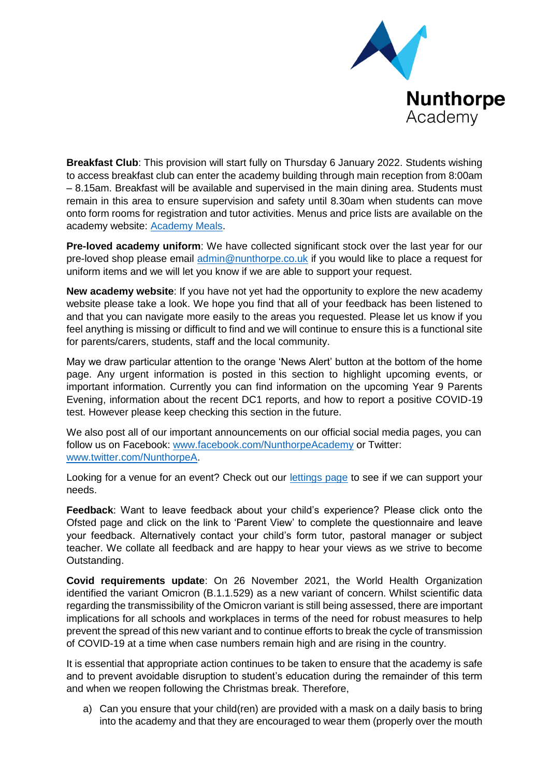

**Breakfast Club**: This provision will start fully on Thursday 6 January 2022. Students wishing to access breakfast club can enter the academy building through main reception from 8:00am – 8.15am. Breakfast will be available and supervised in the main dining area. Students must remain in this area to ensure supervision and safety until 8.30am when students can move onto form rooms for registration and tutor activities. Menus and price lists are available on the academy website: [Academy Meals.](https://www.nunthorpe.co.uk/academy-meals/)

**Pre-loved academy uniform**: We have collected significant stock over the last year for our pre-loved shop please email [admin@nunthorpe.co.uk](mailto:admin@nunthorpe.co.uk) if you would like to place a request for uniform items and we will let you know if we are able to support your request.

**New academy website**: If you have not yet had the opportunity to explore the new academy website please take a look. We hope you find that all of your feedback has been listened to and that you can navigate more easily to the areas you requested. Please let us know if you feel anything is missing or difficult to find and we will continue to ensure this is a functional site for parents/carers, students, staff and the local community.

May we draw particular attention to the orange 'News Alert' button at the bottom of the home page. Any urgent information is posted in this section to highlight upcoming events, or important information. Currently you can find information on the upcoming Year 9 Parents Evening, information about the recent DC1 reports, and how to report a positive COVID-19 test. However please keep checking this section in the future.

We also post all of our important announcements on our official social media pages, you can follow us on Facebook: [www.facebook.com/NunthorpeAcademy](http://www.facebook.com/NunthorpeAcademy) or Twitter: [www.twitter.com/NunthorpeA.](http://www.twitter.com/NunthorpeA)

Looking for a venue for an event? Check out our [lettings page](https://nunthorpe.schoolhire.co.uk/) to see if we can support your needs.

**Feedback**: Want to leave feedback about your child's experience? Please click onto the Ofsted page and click on the link to 'Parent View' to complete the questionnaire and leave your feedback. Alternatively contact your child's form tutor, pastoral manager or subject teacher. We collate all feedback and are happy to hear your views as we strive to become Outstanding.

**Covid requirements update**: On 26 November 2021, the World Health Organization identified the variant Omicron (B.1.1.529) as a new variant of concern. Whilst scientific data regarding the transmissibility of the Omicron variant is still being assessed, there are important implications for all schools and workplaces in terms of the need for robust measures to help prevent the spread of this new variant and to continue efforts to break the cycle of transmission of COVID-19 at a time when case numbers remain high and are rising in the country.

It is essential that appropriate action continues to be taken to ensure that the academy is safe and to prevent avoidable disruption to student's education during the remainder of this term and when we reopen following the Christmas break. Therefore,

a) Can you ensure that your child(ren) are provided with a mask on a daily basis to bring into the academy and that they are encouraged to wear them (properly over the mouth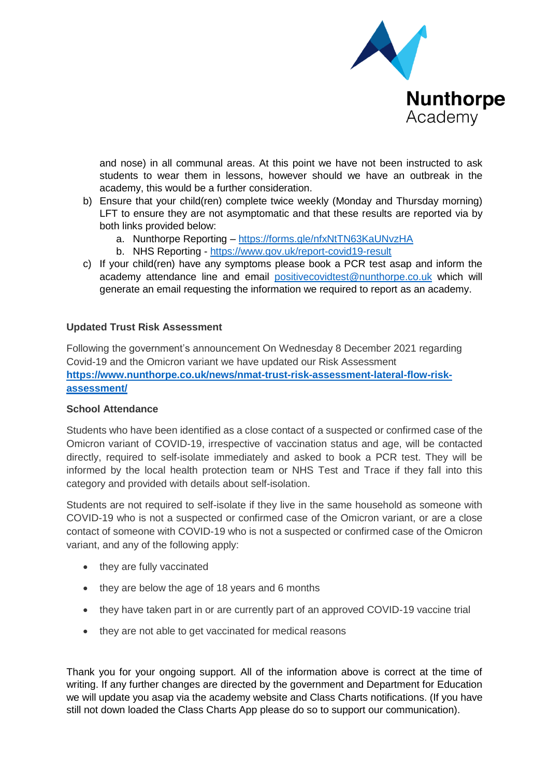

and nose) in all communal areas. At this point we have not been instructed to ask students to wear them in lessons, however should we have an outbreak in the academy, this would be a further consideration.

- b) Ensure that your child(ren) complete twice weekly (Monday and Thursday morning) LFT to ensure they are not asymptomatic and that these results are reported via by both links provided below:
	- a. Nunthorpe Reporting <https://forms.gle/nfxNtTN63KaUNvzHA>
	- b. NHS Reporting <https://www.gov.uk/report-covid19-result>
- c) If your child(ren) have any symptoms please book a PCR test asap and inform the academy attendance line and email [positivecovidtest@nunthorpe.co.uk](mailto:positivecovidtest@nunthorpe.co.uk) which will generate an email requesting the information we required to report as an academy.

## **Updated Trust Risk Assessment**

Following the government's announcement On Wednesday 8 December 2021 regarding Covid-19 and the Omicron variant we have updated our Risk Assessment **[https://www.nunthorpe.co.uk/news/nmat-trust-risk-assessment-lateral-flow-risk](https://www.nunthorpe.co.uk/news/nmat-trust-risk-assessment-lateral-flow-risk-assessment/)[assessment/](https://www.nunthorpe.co.uk/news/nmat-trust-risk-assessment-lateral-flow-risk-assessment/)**

## **School Attendance**

Students who have been identified as a close contact of a suspected or confirmed case of the Omicron variant of COVID-19, irrespective of vaccination status and age, will be contacted directly, required to self-isolate immediately and asked to book a PCR test. They will be informed by the local health protection team or NHS Test and Trace if they fall into this category and provided with details about self-isolation.

Students are not required to self-isolate if they live in the same household as someone with COVID-19 who is not a suspected or confirmed case of the Omicron variant, or are a close contact of someone with COVID-19 who is not a suspected or confirmed case of the Omicron variant, and any of the following apply:

- they are fully vaccinated
- they are below the age of 18 years and 6 months
- they have taken part in or are currently part of an approved COVID-19 vaccine trial
- they are not able to get vaccinated for medical reasons

Thank you for your ongoing support. All of the information above is correct at the time of writing. If any further changes are directed by the government and Department for Education we will update you asap via the academy website and Class Charts notifications. (If you have still not down loaded the Class Charts App please do so to support our communication).